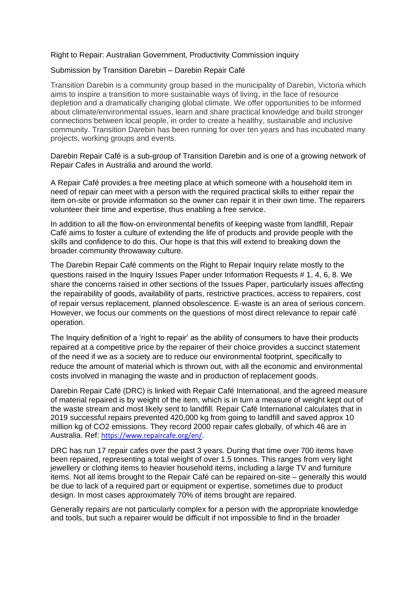## Right to Repair: Australian Government, Productivity Commission inquiry

## Submission by Transition Darebin – Darebin Repair Café

Transition Darebin is a community group based in the municipality of Darebin, Victoria which aims to inspire a transition to more sustainable ways of living, in the face of resource depletion and a dramatically changing global climate. We offer opportunities to be informed about climate/environmental issues, learn and share practical knowledge and build stronger connections between local people, in order to create a healthy, sustainable and inclusive community. Transition Darebin has been running for over ten years and has incubated many projects, working groups and events.

Darebin Repair Café is a sub-group of Transition Darebin and is one of a growing network of Repair Cafes in Australia and around the world.

A Repair Café provides a free meeting place at which someone with a household item in need of repair can meet with a person with the required practical skills to either repair the item on-site or provide information so the owner can repair it in their own time. The repairers volunteer their time and expertise, thus enabling a free service.

In addition to all the flow-on environmental benefits of keeping waste from landfill, Repair Café aims to foster a culture of extending the life of products and provide people with the skills and confidence to do this. Our hope is that this will extend to breaking down the broader community throwaway culture.

The Darebin Repair Café comments on the Right to Repair Inquiry relate mostly to the questions raised in the Inquiry Issues Paper under Information Requests # 1, 4, 6, 8. We share the concerns raised in other sections of the Issues Paper, particularly issues affecting the repairability of goods, availability of parts, restrictive practices, access to repairers, cost of repair versus replacement, planned obsolescence. E-waste is an area of serious concern. However, we focus our comments on the questions of most direct relevance to repair café operation.

The Inquiry definition of a 'right to repair' as the ability of consumers to have their products repaired at a competitive price by the repairer of their choice provides a succinct statement of the need if we as a society are to reduce our environmental footprint, specifically to reduce the amount of material which is thrown out, with all the economic and environmental costs involved in managing the waste and in production of replacement goods.

Darebin Repair Café (DRC) is linked with Repair Café International, and the agreed measure of material repaired is by weight of the item, which is in turn a measure of weight kept out of the waste stream and most likely sent to landfill. Repair Café International calculates that in 2019 successful repairs prevented 420,000 kg from going to landfill and saved approx 10 million kg of CO2 emissions. They record 2000 repair cafes globally, of which 46 are in Australia. Ref: [https://www.repaircafe.org/en/.](https://www.repaircafe.org/en/)

DRC has run 17 repair cafes over the past 3 years. During that time over 700 items have been repaired, representing a total weight of over 1.5 tonnes. This ranges from very light jewellery or clothing items to heavier household items, including a large TV and furniture items. Not all items brought to the Repair Café can be repaired on-site – generally this would be due to lack of a required part or equipment or expertise, sometimes due to product design. In most cases approximately 70% of items brought are repaired.

Generally repairs are not particularly complex for a person with the appropriate knowledge and tools, but such a repairer would be difficult if not impossible to find in the broader